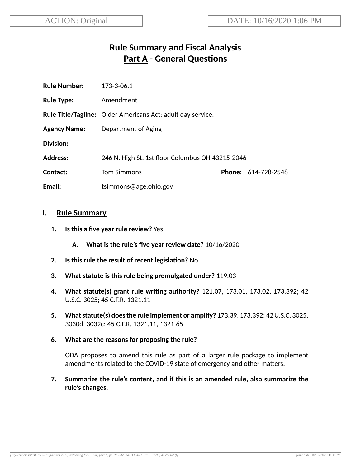# **Rule Summary and Fiscal Analysis Part A - General Questions**

| <b>Rule Number:</b> | 173-3-06.1                                                         |  |                     |
|---------------------|--------------------------------------------------------------------|--|---------------------|
| <b>Rule Type:</b>   | Amendment                                                          |  |                     |
|                     | <b>Rule Title/Tagline:</b> Older Americans Act: adult day service. |  |                     |
| <b>Agency Name:</b> | Department of Aging                                                |  |                     |
| Division:           |                                                                    |  |                     |
| <b>Address:</b>     | 246 N. High St. 1st floor Columbus OH 43215-2046                   |  |                     |
| Contact:            | <b>Tom Simmons</b>                                                 |  | Phone: 614-728-2548 |
| Email:              | tsimmons@age.ohio.gov                                              |  |                     |

#### **I. Rule Summary**

- **1. Is this a five year rule review?** Yes
	- **A. What is the rule's five year review date?** 10/16/2020
- **2.** Is this rule the result of recent legislation? No
- **3. What statute is this rule being promulgated under?** 119.03
- **4. What statute(s) grant rule wring authority?** 121.07, 173.01, 173.02, 173.392; 42 U.S.C. 3025; 45 C.F.R. 1321.11
- **5. Whatstatute(s) doesthe rule implement or amplify?** 173.39, 173.392; 42U.S.C. 3025, 3030d, 3032c; 45 C.F.R. 1321.11, 1321.65
- **6. What are the reasons for proposing the rule?**

ODA proposes to amend this rule as part of a larger rule package to implement amendments related to the COVID-19 state of emergency and other matters.

**7. Summarize the rule's content, and if this is an amended rule, also summarize the rule's changes.**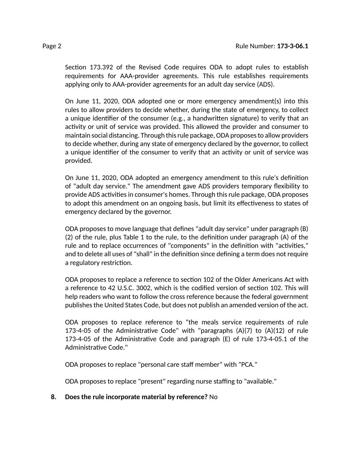Section 173.392 of the Revised Code requires ODA to adopt rules to establish requirements for AAA-provider agreements. This rule establishes requirements applying only to AAA-provider agreements for an adult day service (ADS).

On June 11, 2020, ODA adopted one or more emergency amendment(s) into this rules to allow providers to decide whether, during the state of emergency, to collect a unique identifier of the consumer (e.g., a handwritten signature) to verify that an activity or unit of service was provided. This allowed the provider and consumer to maintain social distancing. Through thisrule package,ODA proposesto allow providers to decide whether, during any state of emergency declared by the governor, to collect a unique identifier of the consumer to verify that an activity or unit of service was provided.

On June 11, 2020, ODA adopted an emergency amendment to this rule's definition of "adult day service." The amendment gave ADS providers temporary flexibility to provide ADS activities in consumer's homes. Through this rule package, ODA proposes to adopt this amendment on an ongoing basis, but limit its effectiveness to states of emergency declared by the governor.

ODA proposes to move language that defines "adult day service" under paragraph (B)  $(2)$  of the rule, plus Table 1 to the rule, to the definition under paragraph  $(A)$  of the rule and to replace occurrences of "components" in the definition with "activities," and to delete all uses of "shall" in the definition since defining a term does not require a regulatory restriction.

ODA proposes to replace a reference to section 102 of the Older Americans Act with a reference to 42 U.S.C. 3002, which is the codified version of section 102. This will help readers who want to follow the cross reference because the federal government publishesthe United States Code, but does not publish an amended version of the act.

ODA proposes to replace reference to "the meals service requirements of rule 173-4-05 of the Administrative Code" with "paragraphs  $(A)(7)$  to  $(A)(12)$  of rule 173-4-05 of the Administrative Code and paragraph  $(E)$  of rule 173-4-05.1 of the Administrative Code."

ODA proposes to replace "personal care staff member" with "PCA."

ODA proposes to replace "present" regarding nurse staffing to "available."

**8. Does the rule incorporate material by reference?** No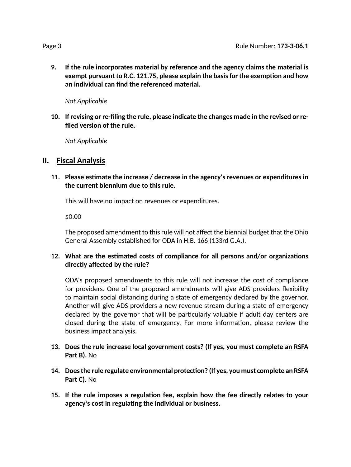**9. If the rule incorporates material by reference and the agency claims the material is exempt pursuant to R.C. 121.75, please explain the basisfor the exempon and how an individual can find the referenced material.**

*Not Applicable*

**10. If revising or re-filing the rule, please indicate the changes made in the revised or refiled version of the rule.**

*Not Applicable*

### **II. Fiscal Analysis**

**11. Please esmate the increase / decrease in the agency's revenues or expenditures in the current biennium due to this rule.**

This will have no impact on revenues or expenditures.

\$0.00

The proposed amendment to this rule will not affect the biennial budget that the Ohio General Assembly established for ODA in H.B. 166 (133rd G.A.).

#### **12. What are the esmated costs of compliance for all persons and/or organizaons directly affected by the rule?**

ODA's proposed amendments to this rule will not increase the cost of compliance for providers. One of the proposed amendments will give ADS providers flexibility to maintain social distancing during a state of emergency declared by the governor. Another will give ADS providers a new revenue stream during a state of emergency declared by the governor that will be particularly valuable if adult day centers are closed during the state of emergency. For more information, please review the business impact analysis.

- **13. Does the rule increase local government costs? (If yes, you must complete an RSFA Part B).** No
- **14. Doesthe rule regulate environmental protecon? (If yes, you must complete an RSFA Part C).** No
- **15. If the rule imposes a regulaon fee, explain how the fee directly relates to your agency's cost in regulang the individual or business.**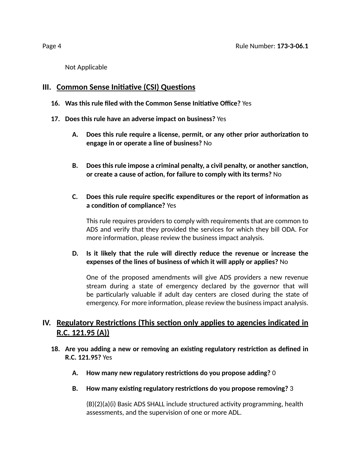Not Applicable

## **III.** Common Sense Initiative (CSI) Questions

- **16. Was this rule filed with the Common Sense Iniave Office?** Yes
- **17. Does this rule have an adverse impact on business?** Yes
	- **A. Does this rule require a license, permit, or any other prior authorizaon to engage in or operate a line of business?** No
	- **B. Does this rule impose a criminal penalty, a civil penalty, or another sancon, or create a cause of acon, for failure to comply with its terms?** No
	- **C. Does this rule require specific expenditures or the report of informaon as a condition of compliance?** Yes

This rule requires providers to comply with requirements that are common to ADS and verify that they provided the services for which they bill ODA. For more information, please review the business impact analysis.

#### **D. Is it likely that the rule will directly reduce the revenue or increase the expenses of the lines of business of which it will apply or applies?** No

One of the proposed amendments will give ADS providers a new revenue stream during a state of emergency declared by the governor that will be particularly valuable if adult day centers are closed during the state of emergency. For more information, please review the business impact analysis.

# **IV.** Regulatory Restrictions (This section only applies to agencies indicated in **R.C. 121.95 (A))**

- **18. Are you adding a new or removing an exisng regulatory restricon as defined in R.C. 121.95?** Yes
	- **A. How many new regulatory restricons do you propose adding?** 0
	- **B.** How many existing regulatory restrictions do you propose removing? 3

 $(B)(2)(a)(i)$  Basic ADS SHALL include structured activity programming, health assessments, and the supervision of one or more ADL.